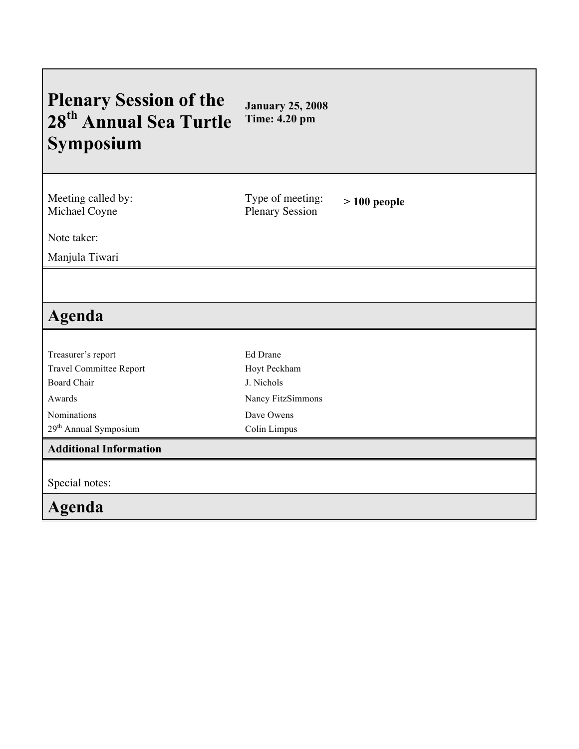| <b>Plenary Session of the</b><br>28 <sup>th</sup> Annual Sea Turtle<br>Symposium | <b>January 25, 2008</b><br><b>Time: 4.20 pm</b> |               |
|----------------------------------------------------------------------------------|-------------------------------------------------|---------------|
| Meeting called by:<br>Michael Coyne                                              | Type of meeting:<br><b>Plenary Session</b>      | $>100$ people |
| Note taker:                                                                      |                                                 |               |
| Manjula Tiwari                                                                   |                                                 |               |
| Agenda                                                                           |                                                 |               |
| Treasurer's report                                                               | Ed Drane                                        |               |
| <b>Travel Committee Report</b>                                                   | Hoyt Peckham                                    |               |
| <b>Board Chair</b>                                                               | J. Nichols                                      |               |
| Awards                                                                           | Nancy FitzSimmons                               |               |
| Nominations                                                                      | Dave Owens                                      |               |
| 29 <sup>th</sup> Annual Symposium                                                | Colin Limpus                                    |               |
| <b>Additional Information</b>                                                    |                                                 |               |
| Special notes:                                                                   |                                                 |               |
| <b>Agenda</b>                                                                    |                                                 |               |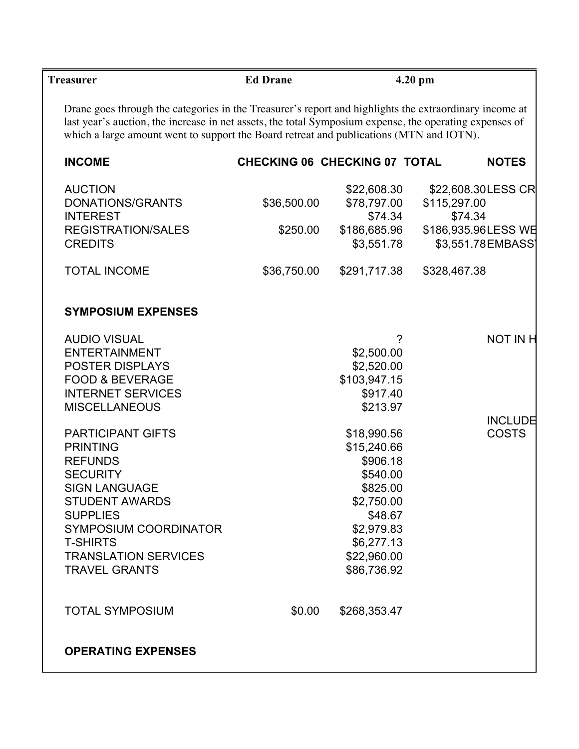| <b>Treasurer</b>                                                                                                                                                                                                                                                                                             | <b>Ed Drane</b>                      |                          | $4.20$ pm    |                     |
|--------------------------------------------------------------------------------------------------------------------------------------------------------------------------------------------------------------------------------------------------------------------------------------------------------------|--------------------------------------|--------------------------|--------------|---------------------|
| Drane goes through the categories in the Treasurer's report and highlights the extraordinary income at<br>last year's auction, the increase in net assets, the total Symposium expense, the operating expenses of<br>which a large amount went to support the Board retreat and publications (MTN and IOTN). |                                      |                          |              |                     |
| <b>INCOME</b>                                                                                                                                                                                                                                                                                                | <b>CHECKING 06 CHECKING 07 TOTAL</b> |                          |              | <b>NOTES</b>        |
| <b>AUCTION</b>                                                                                                                                                                                                                                                                                               |                                      | \$22,608.30              |              | \$22,608.30 LESS CR |
| DONATIONS/GRANTS<br><b>INTEREST</b>                                                                                                                                                                                                                                                                          | \$36,500.00                          | \$78,797.00<br>\$74.34   | \$115,297.00 | \$74.34             |
| <b>REGISTRATION/SALES</b>                                                                                                                                                                                                                                                                                    | \$250.00                             | \$186,685.96             |              | \$186,935.96LESS WE |
| <b>CREDITS</b>                                                                                                                                                                                                                                                                                               |                                      | \$3,551.78               |              | \$3,551.78 EMBASS)  |
| <b>TOTAL INCOME</b>                                                                                                                                                                                                                                                                                          | \$36,750.00                          | \$291,717.38             | \$328,467.38 |                     |
| <b>SYMPOSIUM EXPENSES</b>                                                                                                                                                                                                                                                                                    |                                      |                          |              |                     |
| <b>AUDIO VISUAL</b>                                                                                                                                                                                                                                                                                          |                                      | ?                        |              | <b>NOT IN H</b>     |
| <b>ENTERTAINMENT</b>                                                                                                                                                                                                                                                                                         |                                      | \$2,500.00               |              |                     |
| POSTER DISPLAYS                                                                                                                                                                                                                                                                                              |                                      | \$2,520.00               |              |                     |
| <b>FOOD &amp; BEVERAGE</b><br><b>INTERNET SERVICES</b>                                                                                                                                                                                                                                                       |                                      | \$103,947.15<br>\$917.40 |              |                     |
| <b>MISCELLANEOUS</b>                                                                                                                                                                                                                                                                                         |                                      | \$213.97                 |              |                     |
|                                                                                                                                                                                                                                                                                                              |                                      |                          |              | <b>INCLUDE</b>      |
| <b>PARTICIPANT GIFTS</b>                                                                                                                                                                                                                                                                                     |                                      | \$18,990.56              |              | <b>COSTS</b>        |
| <b>PRINTING</b>                                                                                                                                                                                                                                                                                              |                                      | \$15,240.66              |              |                     |
| <b>REFUNDS</b>                                                                                                                                                                                                                                                                                               |                                      | \$906.18                 |              |                     |
| <b>SECURITY</b>                                                                                                                                                                                                                                                                                              |                                      | \$540.00                 |              |                     |
| <b>SIGN LANGUAGE</b>                                                                                                                                                                                                                                                                                         |                                      | \$825.00                 |              |                     |
| <b>STUDENT AWARDS</b>                                                                                                                                                                                                                                                                                        |                                      | \$2,750.00               |              |                     |
| <b>SUPPLIES</b><br><b>SYMPOSIUM COORDINATOR</b>                                                                                                                                                                                                                                                              |                                      | \$48.67<br>\$2,979.83    |              |                     |
| <b>T-SHIRTS</b>                                                                                                                                                                                                                                                                                              |                                      | \$6,277.13               |              |                     |
| <b>TRANSLATION SERVICES</b>                                                                                                                                                                                                                                                                                  |                                      | \$22,960.00              |              |                     |
| <b>TRAVEL GRANTS</b>                                                                                                                                                                                                                                                                                         |                                      | \$86,736.92              |              |                     |
| <b>TOTAL SYMPOSIUM</b>                                                                                                                                                                                                                                                                                       | \$0.00                               | \$268,353.47             |              |                     |
| <b>OPERATING EXPENSES</b>                                                                                                                                                                                                                                                                                    |                                      |                          |              |                     |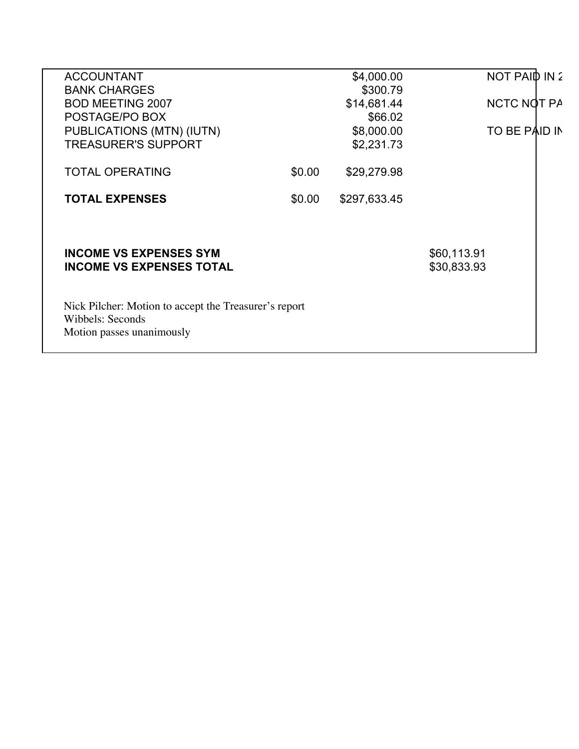| <b>ACCOUNTANT</b>                                     |        | \$4,000.00   | NOT PAID IN 2 |
|-------------------------------------------------------|--------|--------------|---------------|
| <b>BANK CHARGES</b>                                   |        | \$300.79     |               |
| <b>BOD MEETING 2007</b>                               |        | \$14,681.44  | NCTC NOT PA   |
| POSTAGE/PO BOX                                        |        | \$66.02      |               |
| PUBLICATIONS (MTN) (IUTN)                             |        | \$8,000.00   | TO BE PAID IN |
| <b>TREASURER'S SUPPORT</b>                            |        | \$2,231.73   |               |
|                                                       |        |              |               |
| <b>TOTAL OPERATING</b>                                | \$0.00 | \$29,279.98  |               |
|                                                       |        |              |               |
| <b>TOTAL EXPENSES</b>                                 | \$0.00 | \$297,633.45 |               |
|                                                       |        |              |               |
|                                                       |        |              |               |
| <b>INCOME VS EXPENSES SYM</b>                         |        |              | \$60,113.91   |
| <b>INCOME VS EXPENSES TOTAL</b>                       |        |              | \$30,833.93   |
|                                                       |        |              |               |
|                                                       |        |              |               |
| Nick Pilcher: Motion to accept the Treasurer's report |        |              |               |
| Wibbels: Seconds                                      |        |              |               |
| Motion passes unanimously                             |        |              |               |
|                                                       |        |              |               |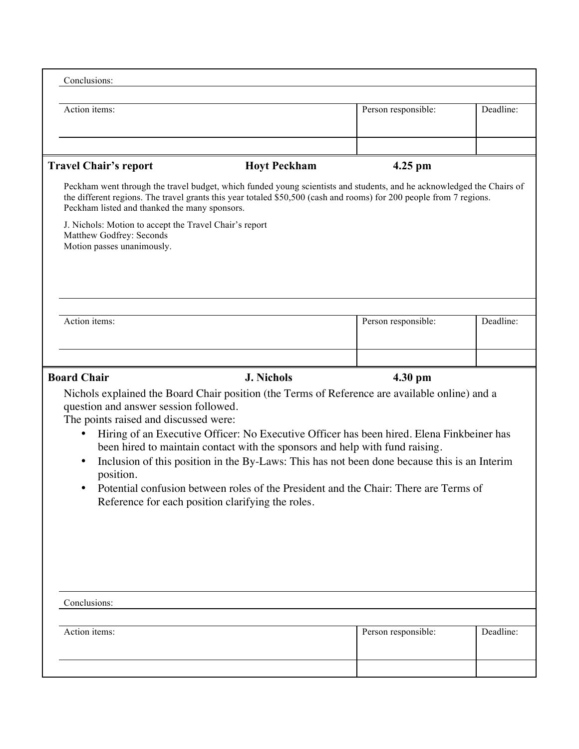| Conclusions:                                                                                                                                                                                                                                                                                                                                                                                                                                                                                                                                                                                                                                                                               |                     |           |  |  |  |  |  |
|--------------------------------------------------------------------------------------------------------------------------------------------------------------------------------------------------------------------------------------------------------------------------------------------------------------------------------------------------------------------------------------------------------------------------------------------------------------------------------------------------------------------------------------------------------------------------------------------------------------------------------------------------------------------------------------------|---------------------|-----------|--|--|--|--|--|
| Action items:                                                                                                                                                                                                                                                                                                                                                                                                                                                                                                                                                                                                                                                                              | Person responsible: | Deadline: |  |  |  |  |  |
|                                                                                                                                                                                                                                                                                                                                                                                                                                                                                                                                                                                                                                                                                            |                     |           |  |  |  |  |  |
| <b>Travel Chair's report</b><br><b>Hoyt Peckham</b>                                                                                                                                                                                                                                                                                                                                                                                                                                                                                                                                                                                                                                        | $4.25$ pm           |           |  |  |  |  |  |
| Peckham went through the travel budget, which funded young scientists and students, and he acknowledged the Chairs of<br>the different regions. The travel grants this year totaled \$50,500 (cash and rooms) for 200 people from 7 regions.<br>Peckham listed and thanked the many sponsors.<br>J. Nichols: Motion to accept the Travel Chair's report<br>Matthew Godfrey: Seconds<br>Motion passes unanimously.                                                                                                                                                                                                                                                                          |                     |           |  |  |  |  |  |
|                                                                                                                                                                                                                                                                                                                                                                                                                                                                                                                                                                                                                                                                                            |                     |           |  |  |  |  |  |
| Action items:                                                                                                                                                                                                                                                                                                                                                                                                                                                                                                                                                                                                                                                                              | Person responsible: | Deadline: |  |  |  |  |  |
|                                                                                                                                                                                                                                                                                                                                                                                                                                                                                                                                                                                                                                                                                            |                     |           |  |  |  |  |  |
| <b>Board Chair</b><br><b>J. Nichols</b><br>4.30 pm<br>Nichols explained the Board Chair position (the Terms of Reference are available online) and a<br>question and answer session followed.<br>The points raised and discussed were:<br>Hiring of an Executive Officer: No Executive Officer has been hired. Elena Finkbeiner has<br>been hired to maintain contact with the sponsors and help with fund raising.<br>Inclusion of this position in the By-Laws: This has not been done because this is an Interim<br>$\bullet$<br>position.<br>Potential confusion between roles of the President and the Chair: There are Terms of<br>Reference for each position clarifying the roles. |                     |           |  |  |  |  |  |
| Conclusions:                                                                                                                                                                                                                                                                                                                                                                                                                                                                                                                                                                                                                                                                               |                     |           |  |  |  |  |  |
| Action items:                                                                                                                                                                                                                                                                                                                                                                                                                                                                                                                                                                                                                                                                              | Person responsible: | Deadline: |  |  |  |  |  |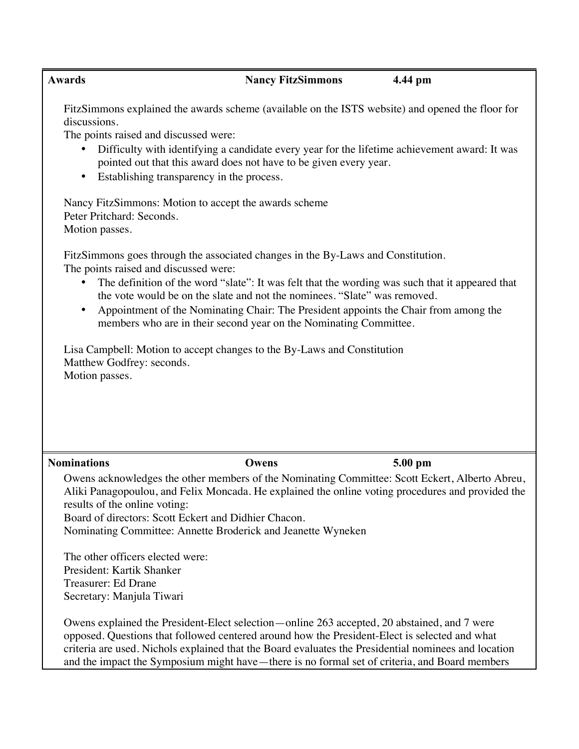## **Awards Nancy FitzSimmons 4.44 pm**

FitzSimmons explained the awards scheme (available on the ISTS website) and opened the floor for discussions.

The points raised and discussed were:

- Difficulty with identifying a candidate every year for the lifetime achievement award: It was pointed out that this award does not have to be given every year.
- Establishing transparency in the process.

Nancy FitzSimmons: Motion to accept the awards scheme Peter Pritchard: Seconds. Motion passes.

FitzSimmons goes through the associated changes in the By-Laws and Constitution. The points raised and discussed were:

- The definition of the word "slate": It was felt that the wording was such that it appeared that the vote would be on the slate and not the nominees. "Slate" was removed.
- Appointment of the Nominating Chair: The President appoints the Chair from among the members who are in their second year on the Nominating Committee.

Lisa Campbell: Motion to accept changes to the By-Laws and Constitution Matthew Godfrey: seconds. Motion passes.

# **Nominations Owens 5.00 pm**

Owens acknowledges the other members of the Nominating Committee: Scott Eckert, Alberto Abreu, Aliki Panagopoulou, and Felix Moncada. He explained the online voting procedures and provided the results of the online voting:

Board of directors: Scott Eckert and Didhier Chacon.

Nominating Committee: Annette Broderick and Jeanette Wyneken

The other officers elected were: President: Kartik Shanker Treasurer: Ed Drane Secretary: Manjula Tiwari

Owens explained the President-Elect selection—online 263 accepted, 20 abstained, and 7 were opposed. Questions that followed centered around how the President-Elect is selected and what criteria are used. Nichols explained that the Board evaluates the Presidential nominees and location and the impact the Symposium might have—there is no formal set of criteria, and Board members